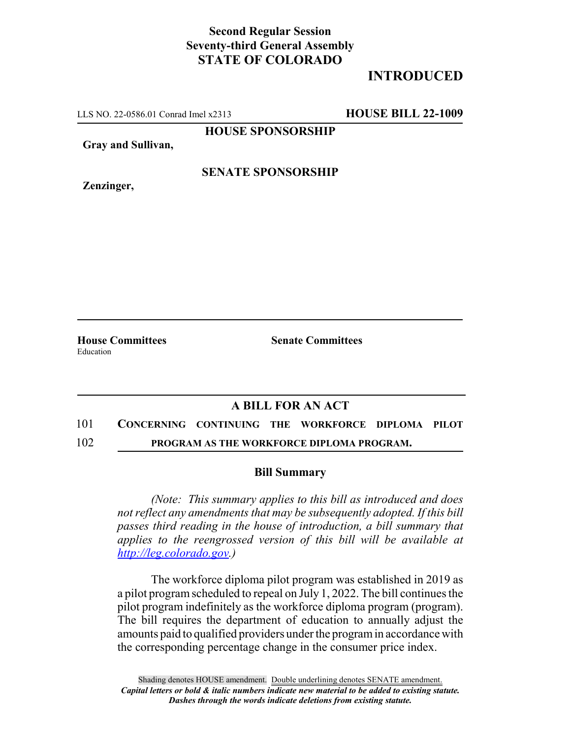## **Second Regular Session Seventy-third General Assembly STATE OF COLORADO**

# **INTRODUCED**

LLS NO. 22-0586.01 Conrad Imel x2313 **HOUSE BILL 22-1009**

**HOUSE SPONSORSHIP**

**Gray and Sullivan,**

**Zenzinger,**

**SENATE SPONSORSHIP**

Education

**House Committees Senate Committees**

## **A BILL FOR AN ACT**

### 101 **CONCERNING CONTINUING THE WORKFORCE DIPLOMA PILOT**

102 **PROGRAM AS THE WORKFORCE DIPLOMA PROGRAM.**

### **Bill Summary**

*(Note: This summary applies to this bill as introduced and does not reflect any amendments that may be subsequently adopted. If this bill passes third reading in the house of introduction, a bill summary that applies to the reengrossed version of this bill will be available at http://leg.colorado.gov.)*

The workforce diploma pilot program was established in 2019 as a pilot program scheduled to repeal on July 1, 2022. The bill continues the pilot program indefinitely as the workforce diploma program (program). The bill requires the department of education to annually adjust the amounts paid to qualified providers under the program in accordance with the corresponding percentage change in the consumer price index.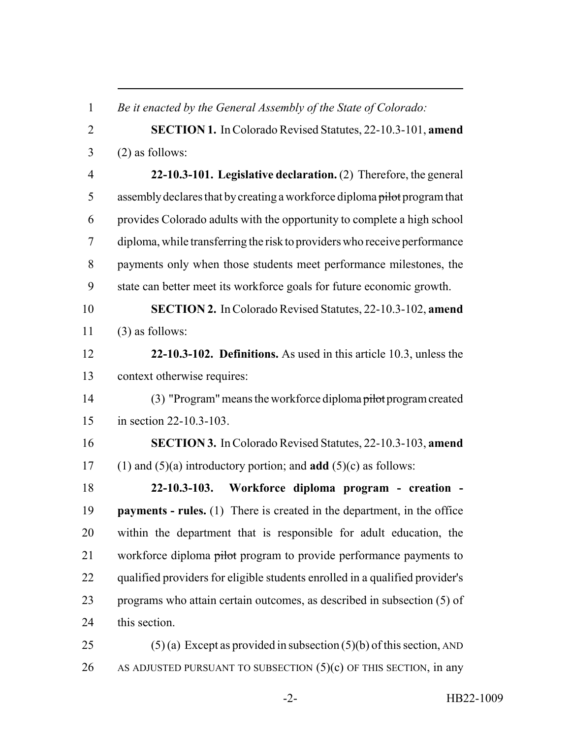*Be it enacted by the General Assembly of the State of Colorado:* **SECTION 1.** In Colorado Revised Statutes, 22-10.3-101, **amend**  $3 \qquad (2)$  as follows: **22-10.3-101. Legislative declaration.** (2) Therefore, the general 5 assembly declares that by creating a workforce diploma pilot program that provides Colorado adults with the opportunity to complete a high school diploma, while transferring the risk to providers who receive performance payments only when those students meet performance milestones, the state can better meet its workforce goals for future economic growth. **SECTION 2.** In Colorado Revised Statutes, 22-10.3-102, **amend** (3) as follows: **22-10.3-102. Definitions.** As used in this article 10.3, unless the context otherwise requires: (3) "Program" means the workforce diploma pilot program created in section 22-10.3-103. **SECTION 3.** In Colorado Revised Statutes, 22-10.3-103, **amend** (1) and (5)(a) introductory portion; and **add** (5)(c) as follows: **22-10.3-103. Workforce diploma program - creation - payments - rules.** (1) There is created in the department, in the office within the department that is responsible for adult education, the 21 workforce diploma pilot program to provide performance payments to qualified providers for eligible students enrolled in a qualified provider's programs who attain certain outcomes, as described in subsection (5) of this section. 25 (5) (a) Except as provided in subsection  $(5)(b)$  of this section, AND

26 AS ADJUSTED PURSUANT TO SUBSECTION  $(5)(c)$  OF THIS SECTION, in any